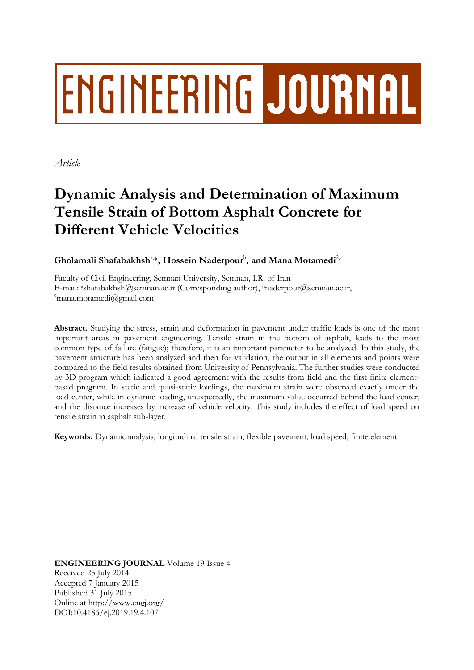# **ENGINEERING JOURNAL**

*Article*

# **Dynamic Analysis and Determination of Maximum Tensile Strain of Bottom Asphalt Concrete for Different Vehicle Velocities**

 $\boldsymbol{\mathrm{G}}$ holamali Shafabakhsh<sup>a,\*</sup>, Hossein Naderpour<sup>b</sup>, and Mana Motamedi<sup>2,c</sup>

Faculty of Civil Engineering, Semnan University, Semnan, I.R. of Iran E-mail: a[shafabakhsh@semnan.ac.ir](mailto:ashafabakhsh@semnan.ac.ir) (Corresponding author), bnaderpour@semnan.ac.ir,  $\epsilon$ mana.motamedi $\omega$ gmail.com

**Abstract.** Studying the stress, strain and deformation in pavement under traffic loads is one of the most important areas in pavement engineering. Tensile strain in the bottom of asphalt, leads to the most common type of failure (fatigue); therefore, it is an important parameter to be analyzed. In this study, the pavement structure has been analyzed and then for validation, the output in all elements and points were compared to the field results obtained from University of Pennsylvania. The further studies were conducted by 3D program which indicated a good agreement with the results from field and the first finite elementbased program. In static and quasi-static loadings, the maximum strain were observed exactly under the load center, while in dynamic loading, unexpectedly, the maximum value occurred behind the load center, and the distance increases by increase of vehicle velocity. This study includes the effect of load speed on tensile strain in asphalt sub-layer.

**Keywords:** Dynamic analysis, longitudinal tensile strain, flexible pavement, load speed, finite element.

**ENGINEERING JOURNAL** Volume 19 Issue 4 Received 25 July 2014 Accepted 7 January 2015 Published 31 July 2015 Online at http://www.engj.org/ DOI:10.4186/ej.2019.19.4.107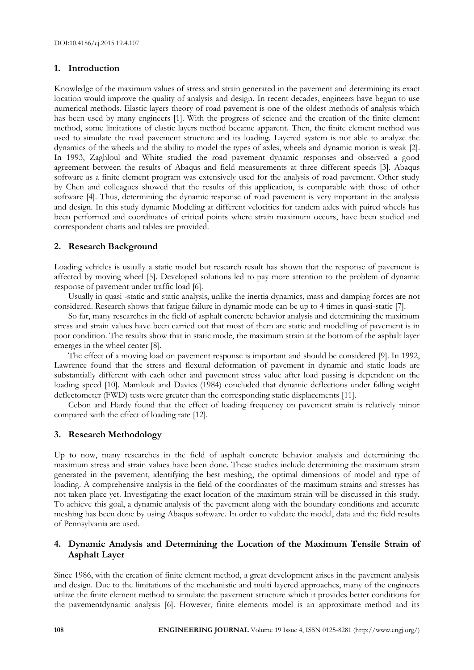# **1. Introduction**

Knowledge of the maximum values of stress and strain generated in the pavement and determining its exact location would improve the quality of analysis and design. In recent decades, engineers have begun to use numerical methods. Elastic layers theory of road pavement is one of the oldest methods of analysis which has been used by many engineers [1]. With the progress of science and the creation of the finite element method, some limitations of elastic layers method became apparent. Then, the finite element method was used to simulate the road pavement structure and its loading. Layered system is not able to analyze the dynamics of the wheels and the ability to model the types of axles, wheels and dynamic motion is weak [2]. In 1993, Zaghloul and White studied the road pavement dynamic responses and observed a good agreement between the results of Abaqus and field measurements at three different speeds [3]. Abaqus software as a finite element program was extensively used for the analysis of road pavement. Other study by Chen and colleagues showed that the results of this application, is comparable with those of other software [4]. Thus, determining the dynamic response of road pavement is very important in the analysis and design. In this study dynamic Modeling at different velocities for tandem axles with paired wheels has been performed and coordinates of critical points where strain maximum occurs, have been studied and correspondent charts and tables are provided.

# **2. Research Background**

Loading vehicles is usually a static model but research result has shown that the response of pavement is affected by moving wheel [5]. Developed solutions led to pay more attention to the problem of dynamic response of pavement under traffic load [6].

Usually in quasi -static and static analysis, unlike the inertia dynamics, mass and damping forces are not considered. Research shows that fatigue failure in dynamic mode can be up to 4 times in quasi-static [7].

So far, many researches in the field of asphalt concrete behavior analysis and determining the maximum stress and strain values have been carried out that most of them are static and modelling of pavement is in poor condition. The results show that in static mode, the maximum strain at the bottom of the asphalt layer emerges in the wheel center [8].

The effect of a moving load on pavement response is important and should be considered [9]. In 1992, Lawrence found that the stress and flexural deformation of pavement in dynamic and static loads are substantially different with each other and pavement stress value after load passing is dependent on the loading speed [10]. Mamlouk and Davies (1984) concluded that dynamic deflections under falling weight deflectometer (FWD) tests were greater than the corresponding static displacements [11].

Cebon and Hardy found that the effect of loading frequency on pavement strain is relatively minor compared with the effect of loading rate [12].

# **3. Research Methodology**

Up to now, many researches in the field of asphalt concrete behavior analysis and determining the maximum stress and strain values have been done. These studies include determining the maximum strain generated in the pavement, identifying the best meshing, the optimal dimensions of model and type of loading. A comprehensive analysis in the field of the coordinates of the maximum strains and stresses has not taken place yet. Investigating the exact location of the maximum strain will be discussed in this study. To achieve this goal, a dynamic analysis of the pavement along with the boundary conditions and accurate meshing has been done by using Abaqus software. In order to validate the model, data and the field results of Pennsylvania are used.

# **4. Dynamic Analysis and Determining the Location of the Maximum Tensile Strain of Asphalt Layer**

Since 1986, with the creation of finite element method, a great development arises in the pavement analysis and design. Due to the limitations of the mechanistic and multi layered approaches, many of the engineers utilize the finite element method to simulate the pavement structure which it provides better conditions for the pavementdynamic analysis [6]. However, finite elements model is an approximate method and its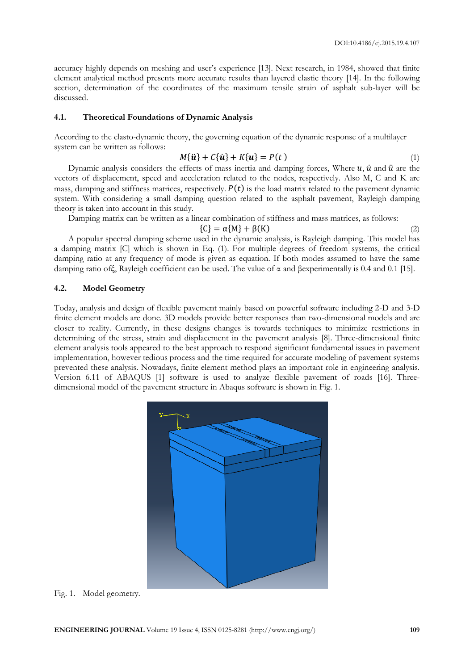accuracy highly depends on meshing and user's experience [13]. Next research, in 1984, showed that finite element analytical method presents more accurate results than layered elastic theory [14]. In the following section, determination of the coordinates of the maximum tensile strain of asphalt sub-layer will be discussed.

## **4.1. Theoretical Foundations of Dynamic Analysis**

According to the elasto-dynamic theory, the governing equation of the dynamic response of a multilayer system can be written as follows:

$$
M\{\ddot{\mathbf{u}}\} + C\{\dot{\mathbf{u}}\} + K\{\mathbf{u}\} = P(t) \tag{1}
$$

Dynamic analysis considers the effects of mass inertia and damping forces, Where  $u$ ,  $\dot{u}$  and  $\ddot{u}$  are the vectors of displacement, speed and acceleration related to the nodes, respectively. Also M, C and K are mass, damping and stiffness matrices, respectively.  $P(t)$  is the load matrix related to the pavement dynamic system. With considering a small damping question related to the asphalt pavement, Rayleigh damping theory is taken into account in this study.

Damping matrix can be written as a linear combination of stiffness and mass matrices, as follows:

$$
\{C\} = \alpha\{M\} + \beta(K) \tag{2}
$$

A popular spectral damping scheme used in the dynamic analysis, is Rayleigh damping. This model has a damping matrix [C] which is shown in Eq. (1). For multiple degrees of freedom systems, the critical damping ratio at any frequency of mode is given as equation. If both modes assumed to have the same damping ratio ofξ, Rayleigh coefficient can be used. The value of α and βexperimentally is 0.4 and 0.1 [15].

# **4.2. Model Geometry**

Today, analysis and design of flexible pavement mainly based on powerful software including 2-D and 3-D finite element models are done. 3D models provide better responses than two-dimensional models and are closer to reality. Currently, in these designs changes is towards techniques to minimize restrictions in determining of the stress, strain and displacement in the pavement analysis [8]. Three-dimensional finite element analysis tools appeared to the best approach to respond significant fundamental issues in pavement implementation, however tedious process and the time required for accurate modeling of pavement systems prevented these analysis. Nowadays, finite element method plays an important role in engineering analysis. Version 6.11 of ABAQUS [1] software is used to analyze flexible pavement of roads [16]. Threedimensional model of the pavement structure in Abaqus software is shown in Fig. 1.



Fig. 1. Model geometry.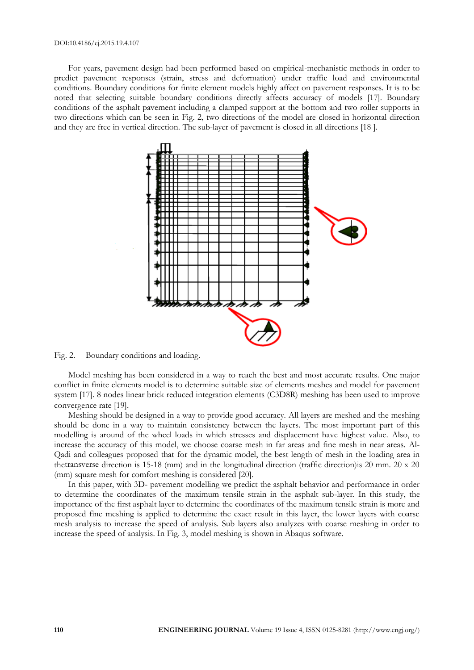#### DOI:10.4186/ej.2015.19.4.107

For years, pavement design had been performed based on empirical-mechanistic methods in order to predict pavement responses (strain, stress and deformation) under traffic load and environmental conditions. Boundary conditions for finite element models highly affect on pavement responses. It is to be noted that selecting suitable boundary conditions directly affects accuracy of models [17]. Boundary conditions of the asphalt pavement including a clamped support at the bottom and two roller supports in two directions which can be seen in Fig. 2, two directions of the model are closed in horizontal direction and they are free in vertical direction. The sub-layer of pavement is closed in all directions [18 ].



Fig. 2. Boundary conditions and loading.

Model meshing has been considered in a way to reach the best and most accurate results. One major conflict in finite elements model is to determine suitable size of elements meshes and model for pavement system [17]. 8 nodes linear brick reduced integration elements (C3D8R) meshing has been used to improve convergence rate [19].

Meshing should be designed in a way to provide good accuracy. All layers are meshed and the meshing should be done in a way to maintain consistency between the layers. The most important part of this modelling is around of the wheel loads in which stresses and displacement have highest value. Also, to increase the accuracy of this model, we choose coarse mesh in far areas and fine mesh in near areas. Al-Qadi and colleagues proposed that for the dynamic model, the best length of mesh in the loading area in thetransverse direction is 15-18 (mm) and in the longitudinal direction (traffic direction)is 20 mm. 20 x 20 (mm) square mesh for comfort meshing is considered [20].

In this paper, with 3D- pavement modelling we predict the asphalt behavior and performance in order to determine the coordinates of the maximum tensile strain in the asphalt sub-layer. In this study, the importance of the first asphalt layer to determine the coordinates of the maximum tensile strain is more and proposed fine meshing is applied to determine the exact result in this layer, the lower layers with coarse mesh analysis to increase the speed of analysis. Sub layers also analyzes with coarse meshing in order to increase the speed of analysis. In Fig. 3, model meshing is shown in Abaqus software.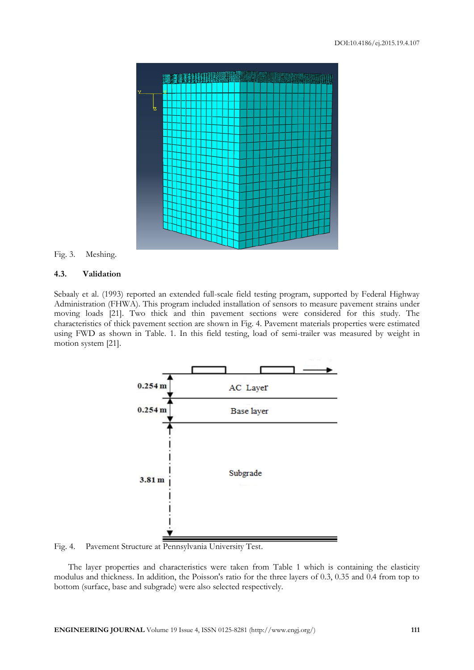

Fig. 3. Meshing.

# **4.3. Validation**

Sebaaly et al. (1993) reported an extended full-scale field testing program, supported by Federal Highway Administration (FHWA). This program included installation of sensors to measure pavement strains under moving loads [21]. Two thick and thin pavement sections were considered for this study. The characteristics of thick pavement section are shown in Fig. 4. Pavement materials properties were estimated using FWD as shown in Table. 1. In this field testing, load of semi-trailer was measured by weight in motion system [21].



Fig. 4. Pavement Structure at Pennsylvania University Test.

The layer properties and characteristics were taken from Table 1 which is containing the elasticity modulus and thickness. In addition, the Poisson's ratio for the three layers of 0.3, 0.35 and 0.4 from top to bottom (surface, base and subgrade) were also selected respectively.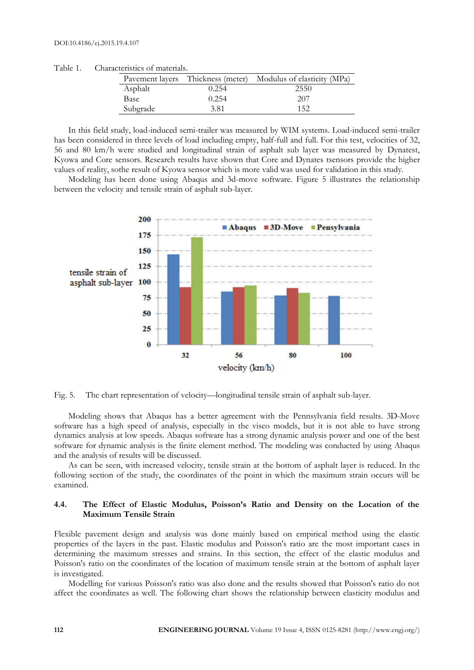|          |       | Pavement layers Thickness (meter) Modulus of elasticity (MPa) |
|----------|-------|---------------------------------------------------------------|
| Asphalt  | 0.254 | 2550                                                          |
| Base     | 0.254 | 207                                                           |
| Subgrade | 3.81  | 152                                                           |

Table 1. Characteristics of materials.

In this field study, load-induced semi-trailer was measured by WIM systems. Load-induced semi-trailer has been considered in three levels of load including empty, half-full and full. For this test, velocities of 32, 56 and 80 km/h were studied and longitudinal strain of asphalt sub layer was measured by Dynatest, Kyowa and Core sensors. Research results have shown that Core and Dynates tsensors provide the higher values of reality, sothe result of Kyowa sensor which is more valid was used for validation in this study.

Modeling has been done using Abaqus and 3d-move software. Figure 5 illustrates the relationship between the velocity and tensile strain of asphalt sub-layer.



Fig. 5. The chart representation of velocity—longitudinal tensile strain of asphalt sub-layer.

Modeling shows that Abaqus has a better agreement with the Pennsylvania field results. 3D-Move software has a high speed of analysis, especially in the visco models, but it is not able to have strong dynamics analysis at low speeds. Abaqus software has a strong dynamic analysis power and one of the best software for dynamic analysis is the finite element method. The modeling was conducted by using Abaqus and the analysis of results will be discussed.

As can be seen, with increased velocity, tensile strain at the bottom of asphalt layer is reduced. In the following section of the study, the coordinates of the point in which the maximum strain occurs will be examined.

# **4.4. The Effect of Elastic Modulus, Poisson's Ratio and Density on the Location of the Maximum Tensile Strain**

Flexible pavement design and analysis was done mainly based on empirical method using the elastic properties of the layers in the past. Elastic modulus and Poisson's ratio are the most important cases in determining the maximum stresses and strains. In this section, the effect of the elastic modulus and Poisson's ratio on the coordinates of the location of maximum tensile strain at the bottom of asphalt layer is investigated.

Modelling for various Poisson's ratio was also done and the results showed that Poisson's ratio do not affect the coordinates as well. The following chart shows the relationship between elasticity modulus and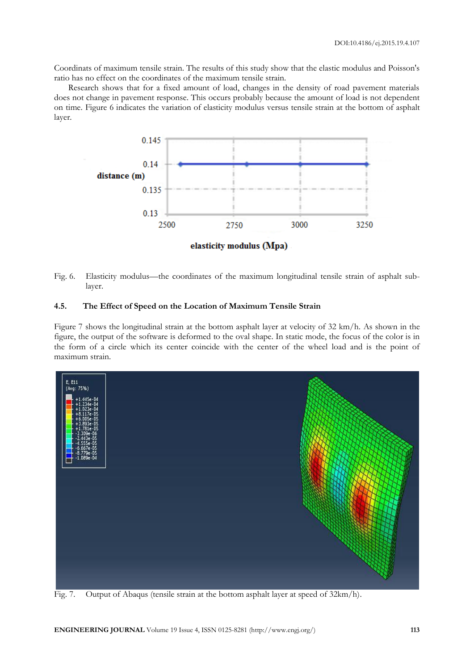Coordinats of maximum tensile strain. The results of this study show that the elastic modulus and Poisson's ratio has no effect on the coordinates of the maximum tensile strain.

Research shows that for a fixed amount of load, changes in the density of road pavement materials does not change in pavement response. This occurs probably because the amount of load is not dependent on time. Figure 6 indicates the variation of elasticity modulus versus tensile strain at the bottom of asphalt layer.



Fig. 6. Elasticity modulus—the coordinates of the maximum longitudinal tensile strain of asphalt sublayer.

# **4.5. The Effect of Speed on the Location of Maximum Tensile Strain**

Figure 7 shows the longitudinal strain at the bottom asphalt layer at velocity of 32 km/h. As shown in the figure, the output of the software is deformed to the oval shape. In static mode, the focus of the color is in the form of a circle which its center coincide with the center of the wheel load and is the point of maximum strain.



Fig. 7. Output of Abaqus (tensile strain at the bottom asphalt layer at speed of 32km/h).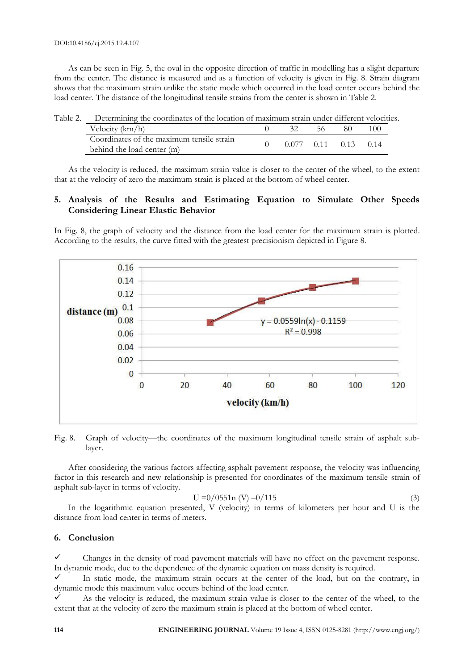As can be seen in Fig. 5, the oval in the opposite direction of traffic in modelling has a slight departure from the center. The distance is measured and as a function of velocity is given in Fig. 8. Strain diagram shows that the maximum strain unlike the static mode which occurred in the load center occurs behind the load center. The distance of the longitudinal tensile strains from the center is shown in Table 2.

| Table 2. Determining the coordinates of the location of maximum strain under different velocities. |  |  |                              |     |
|----------------------------------------------------------------------------------------------------|--|--|------------------------------|-----|
| Velocity $(km/h)$                                                                                  |  |  | 80                           | 100 |
| Coordinates of the maximum tensile strain                                                          |  |  | $0.077$ $0.11$ $0.13$ $0.14$ |     |
| behind the load center (m)                                                                         |  |  |                              |     |

As the velocity is reduced, the maximum strain value is closer to the center of the wheel, to the extent that at the velocity of zero the maximum strain is placed at the bottom of wheel center.

# **5. Analysis of the Results and Estimating Equation to Simulate Other Speeds Considering Linear Elastic Behavior**

In Fig. 8, the graph of velocity and the distance from the load center for the maximum strain is plotted. According to the results, the curve fitted with the greatest precisionism depicted in Figure 8.



Fig. 8. Graph of velocity—the coordinates of the maximum longitudinal tensile strain of asphalt sublayer.

After considering the various factors affecting asphalt pavement response, the velocity was influencing factor in this research and new relationship is presented for coordinates of the maximum tensile strain of asphalt sub-layer in terms of velocity.

$$
U = 0/0551n (V) - 0/115
$$
 (3)

In the logarithmic equation presented, V (velocity) in terms of kilometers per hour and U is the distance from load center in terms of meters.

# **6. Conclusion**

 Changes in the density of road pavement materials will have no effect on the pavement response. In dynamic mode, due to the dependence of the dynamic equation on mass density is required.

 $\checkmark$  In static mode, the maximum strain occurs at the center of the load, but on the contrary, in dynamic mode this maximum value occurs behind of the load center.

 As the velocity is reduced, the maximum strain value is closer to the center of the wheel, to the extent that at the velocity of zero the maximum strain is placed at the bottom of wheel center.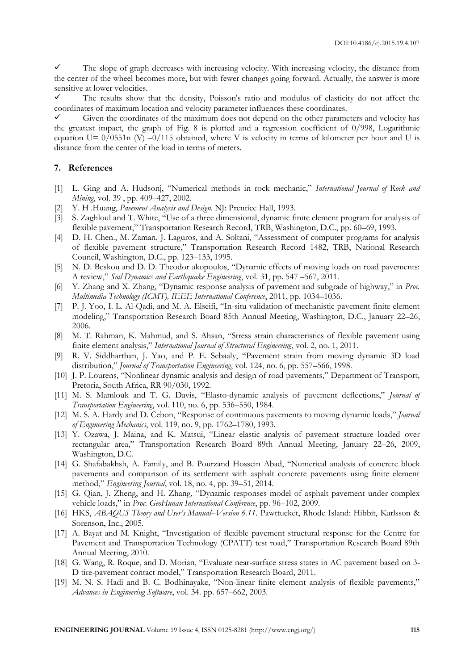$\checkmark$  The slope of graph decreases with increasing velocity. With increasing velocity, the distance from the center of the wheel becomes more, but with fewer changes going forward. Actually, the answer is more sensitive at lower velocities.

 The results show that the density, Poisson's ratio and modulus of elasticity do not affect the coordinates of maximum location and velocity parameter influences these coordinates.

 $\checkmark$  Given the coordinates of the maximum does not depend on the other parameters and velocity has the greatest impact, the graph of Fig. 8 is plotted and a regression coefficient of 0/998, Logarithmic equation U=  $0/0551n$  (V)  $-0/115$  obtained, where V is velocity in terms of kilometer per hour and U is distance from the center of the load in terms of meters.

## **7. References**

- [1] L. Ging and A. Hudsonj, "Numerical methods in rock mechanic," *International Journal of Rock and Mining*, vol. 39 , pp. 409–427, 2002.
- [2] Y. H .Huang, *Pavement Analysis and Design*. NJ: Prentice Hall, 1993.
- [3] S. Zaghloul and T. White, "Use of a three dimensional, dynamic finite element program for analysis of flexible pavement," Transportation Research Record, TRB, Washington, D.C., pp. 60-69, 1993.
- [4] D. H. Chen., M. Zaman, J. Laguros, and A. Soltani, "Assessment of computer programs for analysis of flexible pavement structure," Transportation Research Record 1482, TRB, National Research Council, Washington, D.C., pp. 123–133, 1995.
- [5] N. D. Beskou and D. D. Theodor akopoulos, "Dynamic effects of moving loads on road pavements: A review," *Soil Dynamics and Earthquake Engineering*, vol. 31, pp. 547 –567, 2011.
- [6] Y. Zhang and X. Zhang, "Dynamic response analysis of pavement and subgrade of highway," in *Proc. Multimedia Technology (ICMT), IEEE International Conference*, 2011, pp. 1034–1036.
- [7] P. J. Yoo, I. L. Al-Qadi, and M. A. Elseifi, "In-situ validation of mechanistic pavement finite element modeling," Transportation Research Board 85th Annual Meeting, Washington, D.C., January 22–26, 2006.
- [8] M. T. Rahman, K. Mahmud, and S. Ahsan, "Stress strain characteristics of flexible pavement using finite element analysis," *International Journal of Structural Enginereing*, vol. 2, no. 1, 2011.
- [9] R. V. Siddharthan, J. Yao, and P. E. Sebaaly, "Pavement strain from moving dynamic 3D load distribution," *Journal of Transportation Engineering*, vol. 124, no. 6, pp. 557–566, 1998.
- [10] J. P. Lourens, "Nonlinear dynamic analysis and design of road pavements," Department of Transport, Pretoria, South Africa, RR 90/030, 1992.
- [11] M. S. Mamlouk and T. G. Davis, "Elasto-dynamic analysis of pavement deflections," *Journal of Transportation Engineering*, vol. 110, no. 6, pp. 536–550, 1984.
- [12] M. S. A. Hardy and D. Cebon, "Response of continuous pavements to moving dynamic loads," *Journal of Engineering Mechanics*, vol. 119, no. 9, pp. 1762–1780, 1993.
- [13] Y. Ozawa, J. Maina, and K. Matsui, "Linear elastic analysis of pavement structure loaded over rectangular area," Transportation Research Board 89th Annual Meeting, January 22–26, 2009, Washington, D.C.
- [14] G. Shafabakhsh, A. Family, and B. Pourzand Hossein Abad, "Numerical analysis of concrete block pavements and comparison of its settlement with asphalt concrete pavements using finite element method," *Engineering Journal*, vol. 18, no. 4, pp. 39–51, 2014.
- [15] G. Qian, J. Zheng, and H. Zhang, "Dynamic responses model of asphalt pavement under complex vehicle loads," in *Proc. GeoHunan International Conference*, pp. 96–102, 2009.
- [16] HKS, *ABAQUS Theory and User's Manual–Version 6.11*. Pawttucket, Rhode Island: Hibbit, Karlsson & Sorenson, Inc., 2005.
- [17] A. Bayat and M. Knight, "Investigation of flexible pavement structural response for the Centre for Pavement and Transportation Technology (CPATT) test road," Transportation Research Board 89th Annual Meeting, 2010.
- [18] G. Wang, R. Roque, and D. Morian, "Evaluate near-surface stress states in AC pavement based on 3- D tire-pavement contact model," Transportation Research Board, 2011.
- [19] M. N. S. Hadi and B. C. Bodhinayake, "Non-linear finite element analysis of flexible pavements," *Advances in Engineering Software*, vol. 34. pp. 657–662, 2003.